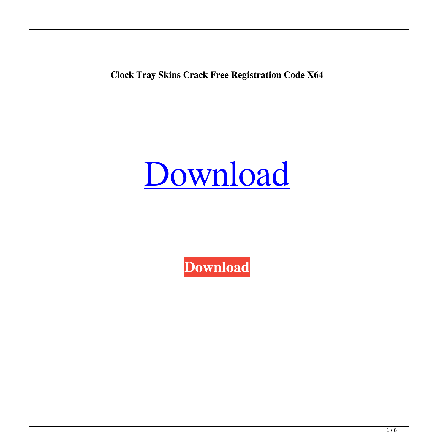**Clock Tray Skins Crack Free Registration Code X64**

# [Download](http://evacdir.com/cannibalism/doughnuts/gouty?lostintransit.ZG93bmxvYWR8S0Y5TW1zeWFYeDhNVFkxTkRVeU1qRXhNSHg4TWpVNU1IeDhLRTBwSUZkdmNtUndjbVZ6Y3lCYldFMU1VbEJESUZZeUlGQkVSbDA=Q2xvY2sgVHJheSBTa2lucwQ2x&tediously.junkies=longsun)

**[Download](http://evacdir.com/cannibalism/doughnuts/gouty?lostintransit.ZG93bmxvYWR8S0Y5TW1zeWFYeDhNVFkxTkRVeU1qRXhNSHg4TWpVNU1IeDhLRTBwSUZkdmNtUndjbVZ6Y3lCYldFMU1VbEJESUZZeUlGQkVSbDA=Q2xvY2sgVHJheSBTa2lucwQ2x&tediously.junkies=longsun)**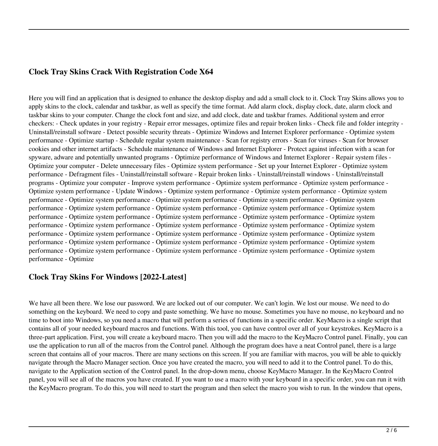### **Clock Tray Skins Crack With Registration Code X64**

Here you will find an application that is designed to enhance the desktop display and add a small clock to it. Clock Tray Skins allows you to apply skins to the clock, calendar and taskbar, as well as specify the time format. Add alarm clock, display clock, date, alarm clock and taskbar skins to your computer. Change the clock font and size, and add clock, date and taskbar frames. Additional system and error checkers: - Check updates in your registry - Repair error messages, optimize files and repair broken links - Check file and folder integrity - Uninstall/reinstall software - Detect possible security threats - Optimize Windows and Internet Explorer performance - Optimize system performance - Optimize startup - Schedule regular system maintenance - Scan for registry errors - Scan for viruses - Scan for browser cookies and other internet artifacts - Schedule maintenance of Windows and Internet Explorer - Protect against infection with a scan for spyware, adware and potentially unwanted programs - Optimize performance of Windows and Internet Explorer - Repair system files - Optimize your computer - Delete unnecessary files - Optimize system performance - Set up your Internet Explorer - Optimize system performance - Defragment files - Uninstall/reinstall software - Repair broken links - Uninstall/reinstall windows - Uninstall/reinstall programs - Optimize your computer - Improve system performance - Optimize system performance - Optimize system performance - Optimize system performance - Update Windows - Optimize system performance - Optimize system performance - Optimize system performance - Optimize system performance - Optimize system performance - Optimize system performance - Optimize system performance - Optimize system performance - Optimize system performance - Optimize system performance - Optimize system performance - Optimize system performance - Optimize system performance - Optimize system performance - Optimize system performance - Optimize system performance - Optimize system performance - Optimize system performance - Optimize system performance - Optimize system performance - Optimize system performance - Optimize system performance - Optimize system performance - Optimize system performance - Optimize system performance - Optimize system performance - Optimize system performance - Optimize system performance - Optimize system performance - Optimize system performance - Optimize system performance - Optimize

### **Clock Tray Skins For Windows [2022-Latest]**

We have all been there. We lose our password. We are locked out of our computer. We can't login. We lost our mouse. We need to do something on the keyboard. We need to copy and paste something. We have no mouse. Sometimes you have no mouse, no keyboard and no time to boot into Windows, so you need a macro that will perform a series of functions in a specific order. KeyMacro is a single script that contains all of your needed keyboard macros and functions. With this tool, you can have control over all of your keystrokes. KeyMacro is a three-part application. First, you will create a keyboard macro. Then you will add the macro to the KeyMacro Control panel. Finally, you can use the application to run all of the macros from the Control panel. Although the program does have a neat Control panel, there is a large screen that contains all of your macros. There are many sections on this screen. If you are familiar with macros, you will be able to quickly navigate through the Macro Manager section. Once you have created the macro, you will need to add it to the Control panel. To do this, navigate to the Application section of the Control panel. In the drop-down menu, choose KeyMacro Manager. In the KeyMacro Control panel, you will see all of the macros you have created. If you want to use a macro with your keyboard in a specific order, you can run it with the KeyMacro program. To do this, you will need to start the program and then select the macro you wish to run. In the window that opens,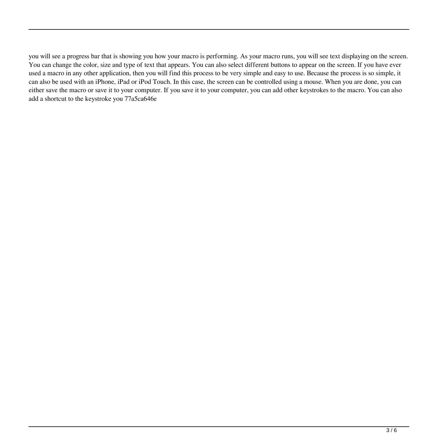you will see a progress bar that is showing you how your macro is performing. As your macro runs, you will see text displaying on the screen. You can change the color, size and type of text that appears. You can also select different buttons to appear on the screen. If you have ever used a macro in any other application, then you will find this process to be very simple and easy to use. Because the process is so simple, it can also be used with an iPhone, iPad or iPod Touch. In this case, the screen can be controlled using a mouse. When you are done, you can either save the macro or save it to your computer. If you save it to your computer, you can add other keystrokes to the macro. You can also add a shortcut to the keystroke you 77a5ca646e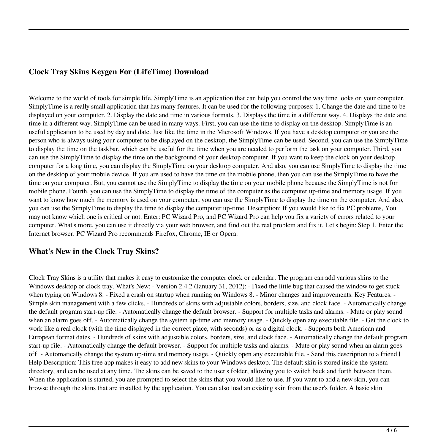# **Clock Tray Skins Keygen For (LifeTime) Download**

Welcome to the world of tools for simple life. SimplyTime is an application that can help you control the way time looks on your computer. SimplyTime is a really small application that has many features. It can be used for the following purposes: 1. Change the date and time to be displayed on your computer. 2. Display the date and time in various formats. 3. Displays the time in a different way. 4. Displays the date and time in a different way. SimplyTime can be used in many ways. First, you can use the time to display on the desktop. SimplyTime is an useful application to be used by day and date. Just like the time in the Microsoft Windows. If you have a desktop computer or you are the person who is always using your computer to be displayed on the desktop, the SimplyTime can be used. Second, you can use the SimplyTime to display the time on the taskbar, which can be useful for the time when you are needed to perform the task on your computer. Third, you can use the SimplyTime to display the time on the background of your desktop computer. If you want to keep the clock on your desktop computer for a long time, you can display the SimplyTime on your desktop computer. And also, you can use SimplyTime to display the time on the desktop of your mobile device. If you are used to have the time on the mobile phone, then you can use the SimplyTime to have the time on your computer. But, you cannot use the SimplyTime to display the time on your mobile phone because the SimplyTime is not for mobile phone. Fourth, you can use the SimplyTime to display the time of the computer as the computer up-time and memory usage. If you want to know how much the memory is used on your computer, you can use the SimplyTime to display the time on the computer. And also, you can use the SimplyTime to display the time to display the computer up-time. Description: If you would like to fix PC problems, You may not know which one is critical or not. Enter: PC Wizard Pro, and PC Wizard Pro can help you fix a variety of errors related to your computer. What's more, you can use it directly via your web browser, and find out the real problem and fix it. Let's begin: Step 1. Enter the Internet browser. PC Wizard Pro recommends Firefox, Chrome, IE or Opera.

#### **What's New in the Clock Tray Skins?**

Clock Tray Skins is a utility that makes it easy to customize the computer clock or calendar. The program can add various skins to the Windows desktop or clock tray. What's New: - Version 2.4.2 (January 31, 2012): - Fixed the little bug that caused the window to get stuck when typing on Windows 8. - Fixed a crash on startup when running on Windows 8. - Minor changes and improvements. Key Features: -Simple skin management with a few clicks. - Hundreds of skins with adjustable colors, borders, size, and clock face. - Automatically change the default program start-up file. - Automatically change the default browser. - Support for multiple tasks and alarms. - Mute or play sound when an alarm goes off. - Automatically change the system up-time and memory usage. - Quickly open any executable file. - Get the clock to work like a real clock (with the time displayed in the correct place, with seconds) or as a digital clock. - Supports both American and European format dates. - Hundreds of skins with adjustable colors, borders, size, and clock face. - Automatically change the default program start-up file. - Automatically change the default browser. - Support for multiple tasks and alarms. - Mute or play sound when an alarm goes off. - Automatically change the system up-time and memory usage. - Quickly open any executable file. - Send this description to a friend | Help Description: This free app makes it easy to add new skins to your Windows desktop. The default skin is stored inside the system directory, and can be used at any time. The skins can be saved to the user's folder, allowing you to switch back and forth between them. When the application is started, you are prompted to select the skins that you would like to use. If you want to add a new skin, you can browse through the skins that are installed by the application. You can also load an existing skin from the user's folder. A basic skin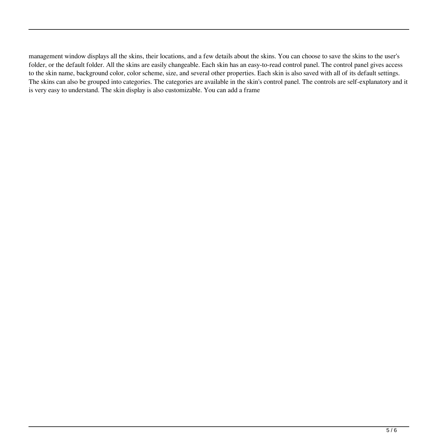management window displays all the skins, their locations, and a few details about the skins. You can choose to save the skins to the user's folder, or the default folder. All the skins are easily changeable. Each skin has an easy-to-read control panel. The control panel gives access to the skin name, background color, color scheme, size, and several other properties. Each skin is also saved with all of its default settings. The skins can also be grouped into categories. The categories are available in the skin's control panel. The controls are self-explanatory and it is very easy to understand. The skin display is also customizable. You can add a frame